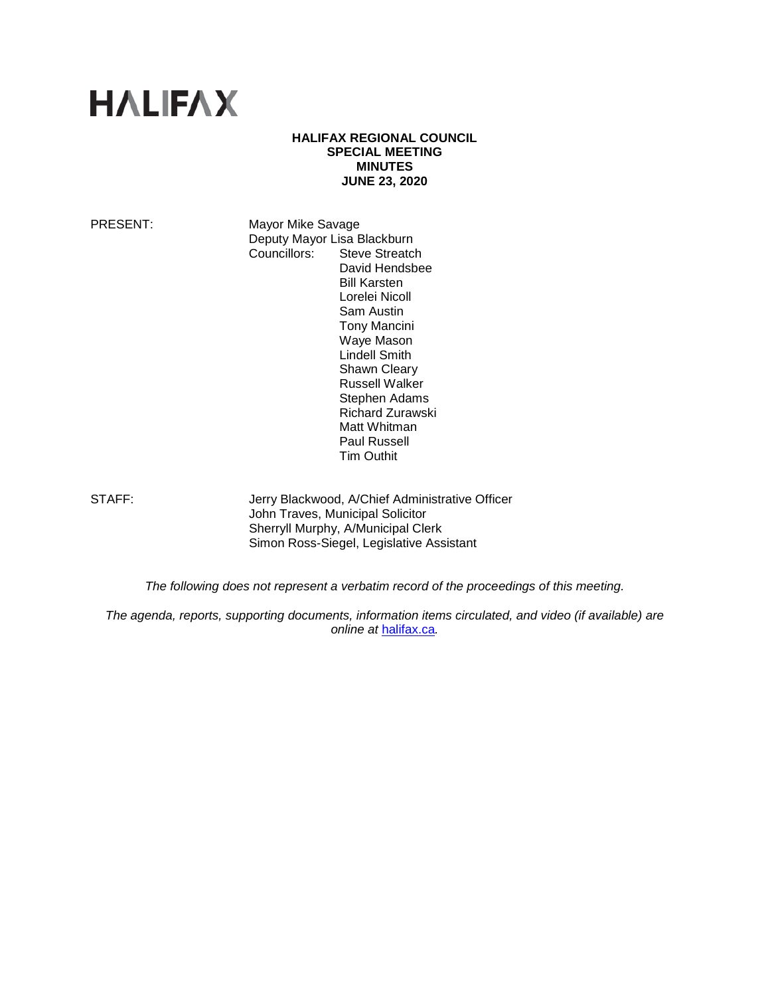

### **HALIFAX REGIONAL COUNCIL SPECIAL MEETING MINUTES JUNE 23, 2020**

PRESENT: Mayor Mike Savage **Deputy Mayor Lisa Blackburn<br>Councillors: Steve Streatcl** Steve Streatch David Hendsbee Bill Karsten Lorelei Nicoll Sam Austin Tony Mancini Waye Mason Lindell Smith Shawn Cleary Russell Walker Stephen Adams Richard Zurawski Matt Whitman Paul Russell Tim Outhit

STAFF: **Jerry Blackwood, A/Chief Administrative Officer** John Traves, Municipal Solicitor Sherryll Murphy, A/Municipal Clerk Simon Ross-Siegel, Legislative Assistant

*The following does not represent a verbatim record of the proceedings of this meeting.*

*The agenda, reports, supporting documents, information items circulated, and video (if available) are online at* [halifax.ca](http://www.halifax.ca/)*.*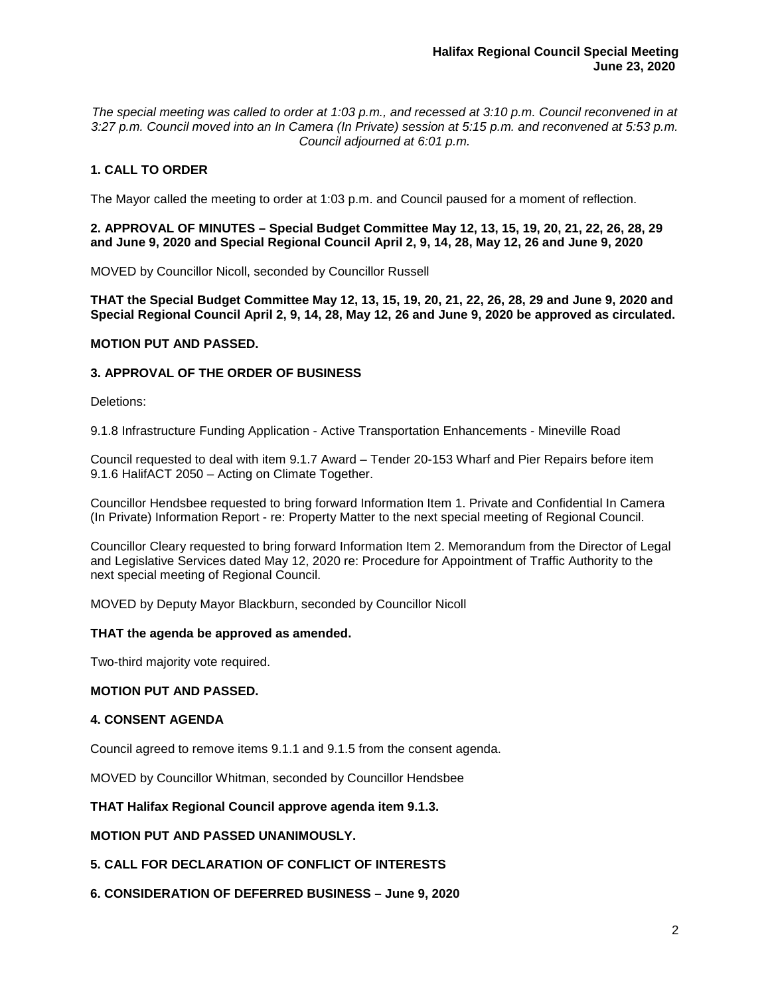*The special meeting was called to order at 1:03 p.m., and recessed at 3:10 p.m. Council reconvened in at 3:27 p.m. Council moved into an In Camera (In Private) session at 5:15 p.m. and reconvened at 5:53 p.m. Council adjourned at 6:01 p.m.*

# **1. CALL TO ORDER**

The Mayor called the meeting to order at 1:03 p.m. and Council paused for a moment of reflection.

**2. APPROVAL OF MINUTES – Special Budget Committee May 12, 13, 15, 19, 20, 21, 22, 26, 28, 29 and June 9, 2020 and Special Regional Council April 2, 9, 14, 28, May 12, 26 and June 9, 2020**

MOVED by Councillor Nicoll, seconded by Councillor Russell

**THAT the Special Budget Committee May 12, 13, 15, 19, 20, 21, 22, 26, 28, 29 and June 9, 2020 and Special Regional Council April 2, 9, 14, 28, May 12, 26 and June 9, 2020 be approved as circulated.**

### **MOTION PUT AND PASSED.**

## **3. APPROVAL OF THE ORDER OF BUSINESS**

Deletions:

9.1.8 Infrastructure Funding Application - Active Transportation Enhancements - Mineville Road

Council requested to deal with item 9.1.7 Award – Tender 20-153 Wharf and Pier Repairs before item 9.1.6 HalifACT 2050 – Acting on Climate Together.

Councillor Hendsbee requested to bring forward Information Item 1. Private and Confidential In Camera (In Private) Information Report - re: Property Matter to the next special meeting of Regional Council.

Councillor Cleary requested to bring forward Information Item 2. Memorandum from the Director of Legal and Legislative Services dated May 12, 2020 re: Procedure for Appointment of Traffic Authority to the next special meeting of Regional Council.

MOVED by Deputy Mayor Blackburn, seconded by Councillor Nicoll

### **THAT the agenda be approved as amended.**

Two-third majority vote required.

### **MOTION PUT AND PASSED.**

### **4. CONSENT AGENDA**

Council agreed to remove items 9.1.1 and 9.1.5 from the consent agenda.

MOVED by Councillor Whitman, seconded by Councillor Hendsbee

### **THAT Halifax Regional Council approve agenda item 9.1.3.**

### **MOTION PUT AND PASSED UNANIMOUSLY.**

**5. CALL FOR DECLARATION OF CONFLICT OF INTERESTS**

**6. CONSIDERATION OF DEFERRED BUSINESS – June 9, 2020**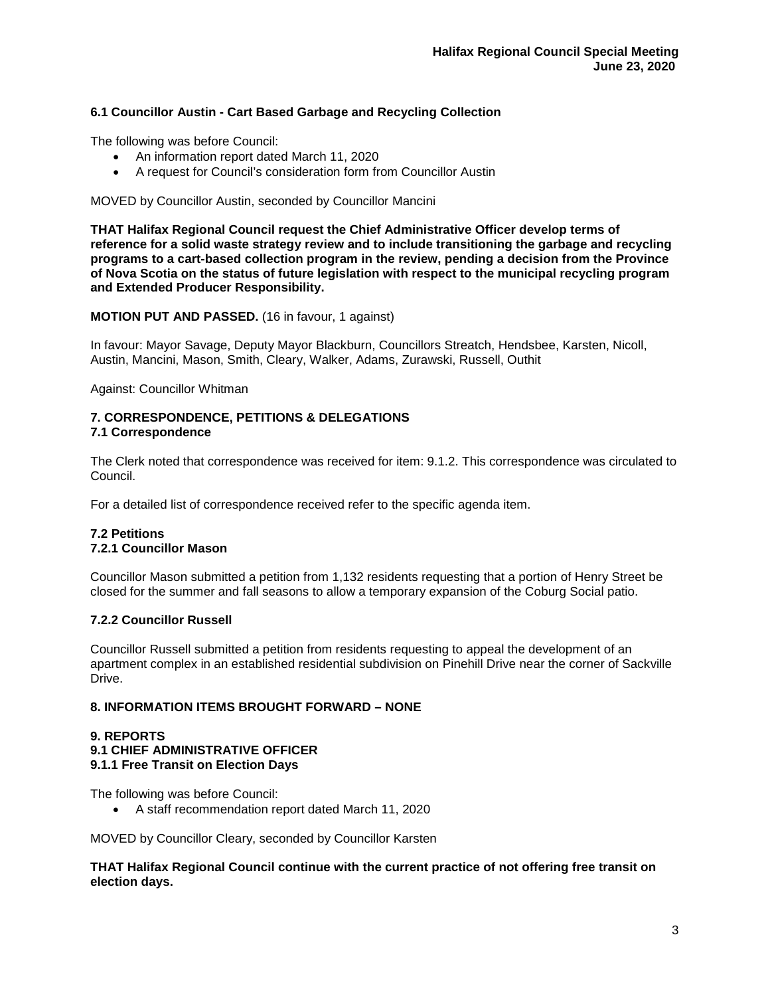# **6.1 Councillor Austin - Cart Based Garbage and Recycling Collection**

The following was before Council:

- An information report dated March 11, 2020
- A request for Council's consideration form from Councillor Austin

MOVED by Councillor Austin, seconded by Councillor Mancini

**THAT Halifax Regional Council request the Chief Administrative Officer develop terms of reference for a solid waste strategy review and to include transitioning the garbage and recycling programs to a cart-based collection program in the review, pending a decision from the Province of Nova Scotia on the status of future legislation with respect to the municipal recycling program and Extended Producer Responsibility.**

**MOTION PUT AND PASSED.** (16 in favour, 1 against)

In favour: Mayor Savage, Deputy Mayor Blackburn, Councillors Streatch, Hendsbee, Karsten, Nicoll, Austin, Mancini, Mason, Smith, Cleary, Walker, Adams, Zurawski, Russell, Outhit

Against: Councillor Whitman

### **7. CORRESPONDENCE, PETITIONS & DELEGATIONS 7.1 Correspondence**

The Clerk noted that correspondence was received for item: 9.1.2. This correspondence was circulated to Council.

For a detailed list of correspondence received refer to the specific agenda item.

# **7.2 Petitions 7.2.1 Councillor Mason**

Councillor Mason submitted a petition from 1,132 residents requesting that a portion of Henry Street be closed for the summer and fall seasons to allow a temporary expansion of the Coburg Social patio.

# **7.2.2 Councillor Russell**

Councillor Russell submitted a petition from residents requesting to appeal the development of an apartment complex in an established residential subdivision on Pinehill Drive near the corner of Sackville Drive.

# **8. INFORMATION ITEMS BROUGHT FORWARD – NONE**

### **9. REPORTS 9.1 CHIEF ADMINISTRATIVE OFFICER 9.1.1 Free Transit on Election Days**

The following was before Council:

• A staff recommendation report dated March 11, 2020

MOVED by Councillor Cleary, seconded by Councillor Karsten

**THAT Halifax Regional Council continue with the current practice of not offering free transit on election days.**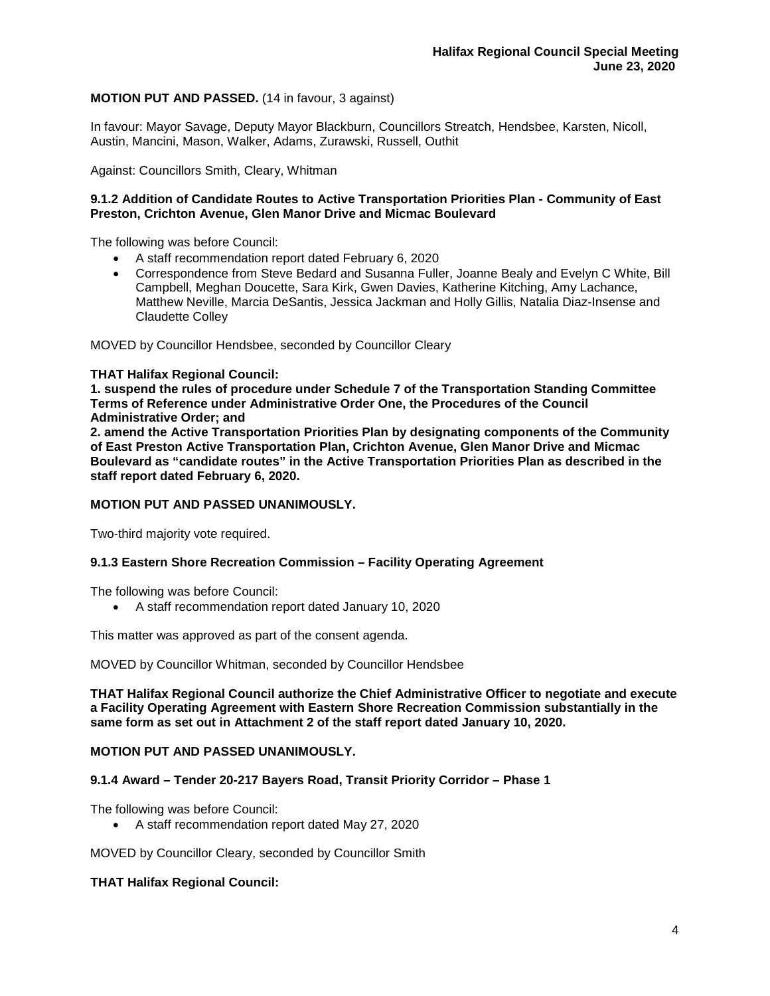## **MOTION PUT AND PASSED.** (14 in favour, 3 against)

In favour: Mayor Savage, Deputy Mayor Blackburn, Councillors Streatch, Hendsbee, Karsten, Nicoll, Austin, Mancini, Mason, Walker, Adams, Zurawski, Russell, Outhit

Against: Councillors Smith, Cleary, Whitman

### **9.1.2 Addition of Candidate Routes to Active Transportation Priorities Plan - Community of East Preston, Crichton Avenue, Glen Manor Drive and Micmac Boulevard**

The following was before Council:

- A staff recommendation report dated February 6, 2020
- Correspondence from Steve Bedard and Susanna Fuller, Joanne Bealy and Evelyn C White, Bill Campbell, Meghan Doucette, Sara Kirk, Gwen Davies, Katherine Kitching, Amy Lachance, Matthew Neville, Marcia DeSantis, Jessica Jackman and Holly Gillis, Natalia Diaz-Insense and Claudette Colley

MOVED by Councillor Hendsbee, seconded by Councillor Cleary

### **THAT Halifax Regional Council:**

**1. suspend the rules of procedure under Schedule 7 of the Transportation Standing Committee Terms of Reference under Administrative Order One, the Procedures of the Council Administrative Order; and**

**2. amend the Active Transportation Priorities Plan by designating components of the Community of East Preston Active Transportation Plan, Crichton Avenue, Glen Manor Drive and Micmac Boulevard as "candidate routes" in the Active Transportation Priorities Plan as described in the staff report dated February 6, 2020.**

## **MOTION PUT AND PASSED UNANIMOUSLY.**

Two-third majority vote required.

### **9.1.3 Eastern Shore Recreation Commission – Facility Operating Agreement**

The following was before Council:

• A staff recommendation report dated January 10, 2020

This matter was approved as part of the consent agenda.

MOVED by Councillor Whitman, seconded by Councillor Hendsbee

**THAT Halifax Regional Council authorize the Chief Administrative Officer to negotiate and execute a Facility Operating Agreement with Eastern Shore Recreation Commission substantially in the same form as set out in Attachment 2 of the staff report dated January 10, 2020.**

### **MOTION PUT AND PASSED UNANIMOUSLY.**

### **9.1.4 Award – Tender 20-217 Bayers Road, Transit Priority Corridor – Phase 1**

The following was before Council:

• A staff recommendation report dated May 27, 2020

MOVED by Councillor Cleary, seconded by Councillor Smith

### **THAT Halifax Regional Council:**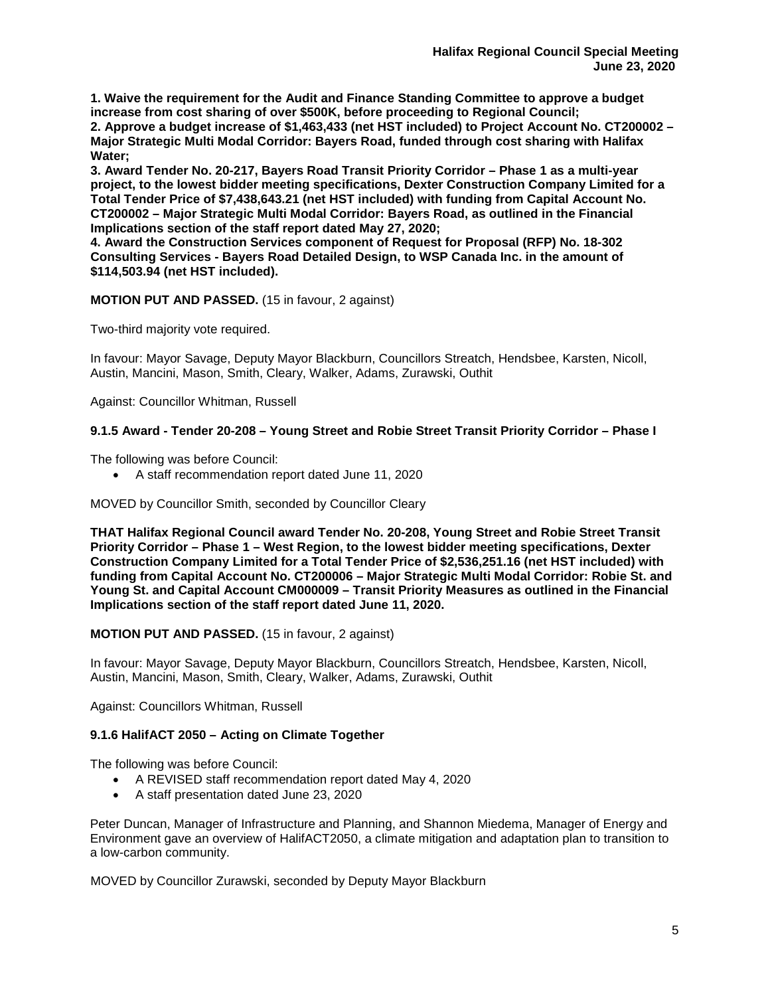**1. Waive the requirement for the Audit and Finance Standing Committee to approve a budget increase from cost sharing of over \$500K, before proceeding to Regional Council;**

**2. Approve a budget increase of \$1,463,433 (net HST included) to Project Account No. CT200002 – Major Strategic Multi Modal Corridor: Bayers Road, funded through cost sharing with Halifax Water;**

**3. Award Tender No. 20-217, Bayers Road Transit Priority Corridor – Phase 1 as a multi-year project, to the lowest bidder meeting specifications, Dexter Construction Company Limited for a Total Tender Price of \$7,438,643.21 (net HST included) with funding from Capital Account No. CT200002 – Major Strategic Multi Modal Corridor: Bayers Road, as outlined in the Financial Implications section of the staff report dated May 27, 2020;** 

**4. Award the Construction Services component of Request for Proposal (RFP) No. 18-302 Consulting Services - Bayers Road Detailed Design, to WSP Canada Inc. in the amount of \$114,503.94 (net HST included).**

# **MOTION PUT AND PASSED.** (15 in favour, 2 against)

Two-third majority vote required.

In favour: Mayor Savage, Deputy Mayor Blackburn, Councillors Streatch, Hendsbee, Karsten, Nicoll, Austin, Mancini, Mason, Smith, Cleary, Walker, Adams, Zurawski, Outhit

Against: Councillor Whitman, Russell

# **9.1.5 Award - Tender 20-208 – Young Street and Robie Street Transit Priority Corridor – Phase I**

The following was before Council:

• A staff recommendation report dated June 11, 2020

MOVED by Councillor Smith, seconded by Councillor Cleary

**THAT Halifax Regional Council award Tender No. 20-208, Young Street and Robie Street Transit Priority Corridor – Phase 1 – West Region, to the lowest bidder meeting specifications, Dexter Construction Company Limited for a Total Tender Price of \$2,536,251.16 (net HST included) with funding from Capital Account No. CT200006 – Major Strategic Multi Modal Corridor: Robie St. and Young St. and Capital Account CM000009 – Transit Priority Measures as outlined in the Financial Implications section of the staff report dated June 11, 2020.**

# **MOTION PUT AND PASSED.** (15 in favour, 2 against)

In favour: Mayor Savage, Deputy Mayor Blackburn, Councillors Streatch, Hendsbee, Karsten, Nicoll, Austin, Mancini, Mason, Smith, Cleary, Walker, Adams, Zurawski, Outhit

Against: Councillors Whitman, Russell

# **9.1.6 HalifACT 2050 – Acting on Climate Together**

The following was before Council:

- A REVISED staff recommendation report dated May 4, 2020
- A staff presentation dated June 23, 2020

Peter Duncan, Manager of Infrastructure and Planning, and Shannon Miedema, Manager of Energy and Environment gave an overview of HalifACT2050, a climate mitigation and adaptation plan to transition to a low-carbon community.

MOVED by Councillor Zurawski, seconded by Deputy Mayor Blackburn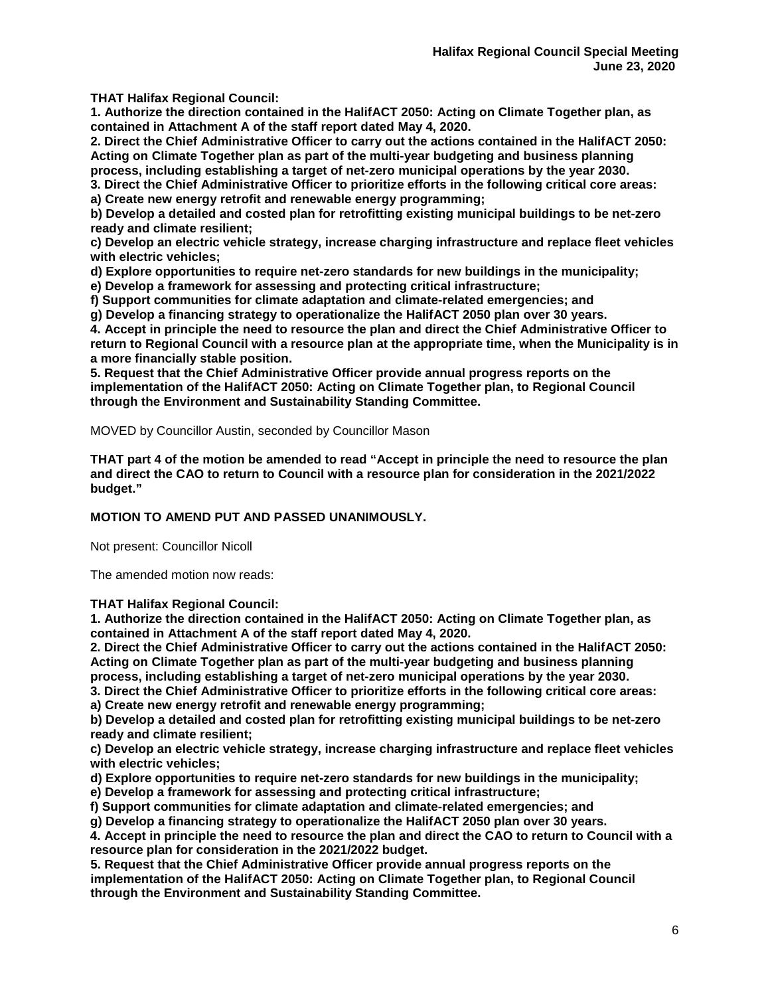**THAT Halifax Regional Council:**

**1. Authorize the direction contained in the HalifACT 2050: Acting on Climate Together plan, as contained in Attachment A of the staff report dated May 4, 2020.**

**2. Direct the Chief Administrative Officer to carry out the actions contained in the HalifACT 2050: Acting on Climate Together plan as part of the multi-year budgeting and business planning process, including establishing a target of net-zero municipal operations by the year 2030.**

**3. Direct the Chief Administrative Officer to prioritize efforts in the following critical core areas:**

**a) Create new energy retrofit and renewable energy programming;**

**b) Develop a detailed and costed plan for retrofitting existing municipal buildings to be net-zero ready and climate resilient;**

**c) Develop an electric vehicle strategy, increase charging infrastructure and replace fleet vehicles with electric vehicles;**

**d) Explore opportunities to require net-zero standards for new buildings in the municipality;**

**e) Develop a framework for assessing and protecting critical infrastructure;**

**f) Support communities for climate adaptation and climate-related emergencies; and**

**g) Develop a financing strategy to operationalize the HalifACT 2050 plan over 30 years.**

**4. Accept in principle the need to resource the plan and direct the Chief Administrative Officer to return to Regional Council with a resource plan at the appropriate time, when the Municipality is in a more financially stable position.**

**5. Request that the Chief Administrative Officer provide annual progress reports on the implementation of the HalifACT 2050: Acting on Climate Together plan, to Regional Council through the Environment and Sustainability Standing Committee.**

MOVED by Councillor Austin, seconded by Councillor Mason

**THAT part 4 of the motion be amended to read "Accept in principle the need to resource the plan and direct the CAO to return to Council with a resource plan for consideration in the 2021/2022 budget."**

### **MOTION TO AMEND PUT AND PASSED UNANIMOUSLY.**

Not present: Councillor Nicoll

The amended motion now reads:

**THAT Halifax Regional Council:**

**1. Authorize the direction contained in the HalifACT 2050: Acting on Climate Together plan, as contained in Attachment A of the staff report dated May 4, 2020.**

**2. Direct the Chief Administrative Officer to carry out the actions contained in the HalifACT 2050: Acting on Climate Together plan as part of the multi-year budgeting and business planning process, including establishing a target of net-zero municipal operations by the year 2030.**

**3. Direct the Chief Administrative Officer to prioritize efforts in the following critical core areas:**

**a) Create new energy retrofit and renewable energy programming;**

**b) Develop a detailed and costed plan for retrofitting existing municipal buildings to be net-zero ready and climate resilient;**

**c) Develop an electric vehicle strategy, increase charging infrastructure and replace fleet vehicles with electric vehicles;**

**d) Explore opportunities to require net-zero standards for new buildings in the municipality;**

**e) Develop a framework for assessing and protecting critical infrastructure;**

**f) Support communities for climate adaptation and climate-related emergencies; and**

**g) Develop a financing strategy to operationalize the HalifACT 2050 plan over 30 years.**

**4. Accept in principle the need to resource the plan and direct the CAO to return to Council with a resource plan for consideration in the 2021/2022 budget.**

**5. Request that the Chief Administrative Officer provide annual progress reports on the implementation of the HalifACT 2050: Acting on Climate Together plan, to Regional Council through the Environment and Sustainability Standing Committee.**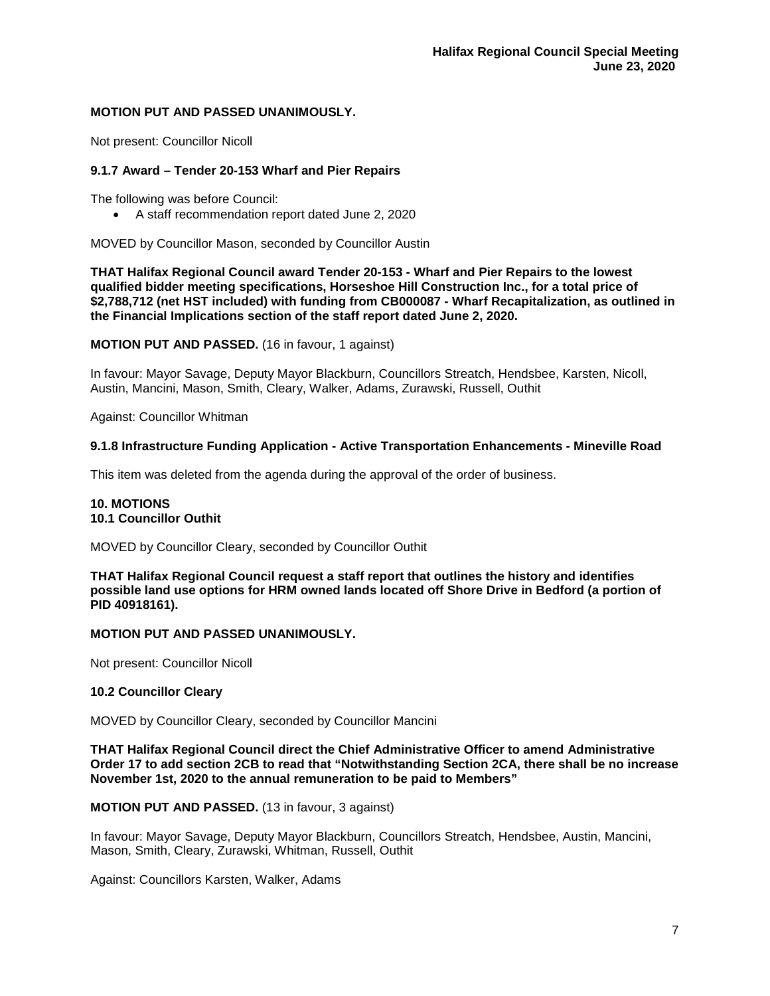## **MOTION PUT AND PASSED UNANIMOUSLY.**

Not present: Councillor Nicoll

# **9.1.7 Award – Tender 20-153 Wharf and Pier Repairs**

The following was before Council:

• A staff recommendation report dated June 2, 2020

MOVED by Councillor Mason, seconded by Councillor Austin

**THAT Halifax Regional Council award Tender 20-153 - Wharf and Pier Repairs to the lowest qualified bidder meeting specifications, Horseshoe Hill Construction Inc., for a total price of \$2,788,712 (net HST included) with funding from CB000087 - Wharf Recapitalization, as outlined in the Financial Implications section of the staff report dated June 2, 2020.**

**MOTION PUT AND PASSED.** (16 in favour, 1 against)

In favour: Mayor Savage, Deputy Mayor Blackburn, Councillors Streatch, Hendsbee, Karsten, Nicoll, Austin, Mancini, Mason, Smith, Cleary, Walker, Adams, Zurawski, Russell, Outhit

Against: Councillor Whitman

## **9.1.8 Infrastructure Funding Application - Active Transportation Enhancements - Mineville Road**

This item was deleted from the agenda during the approval of the order of business.

## **10. MOTIONS 10.1 Councillor Outhit**

MOVED by Councillor Cleary, seconded by Councillor Outhit

**THAT Halifax Regional Council request a staff report that outlines the history and identifies possible land use options for HRM owned lands located off Shore Drive in Bedford (a portion of PID 40918161).**

### **MOTION PUT AND PASSED UNANIMOUSLY.**

Not present: Councillor Nicoll

### **10.2 Councillor Cleary**

MOVED by Councillor Cleary, seconded by Councillor Mancini

### **THAT Halifax Regional Council direct the Chief Administrative Officer to amend Administrative Order 17 to add section 2CB to read that "Notwithstanding Section 2CA, there shall be no increase November 1st, 2020 to the annual remuneration to be paid to Members"**

### **MOTION PUT AND PASSED.** (13 in favour, 3 against)

In favour: Mayor Savage, Deputy Mayor Blackburn, Councillors Streatch, Hendsbee, Austin, Mancini, Mason, Smith, Cleary, Zurawski, Whitman, Russell, Outhit

Against: Councillors Karsten, Walker, Adams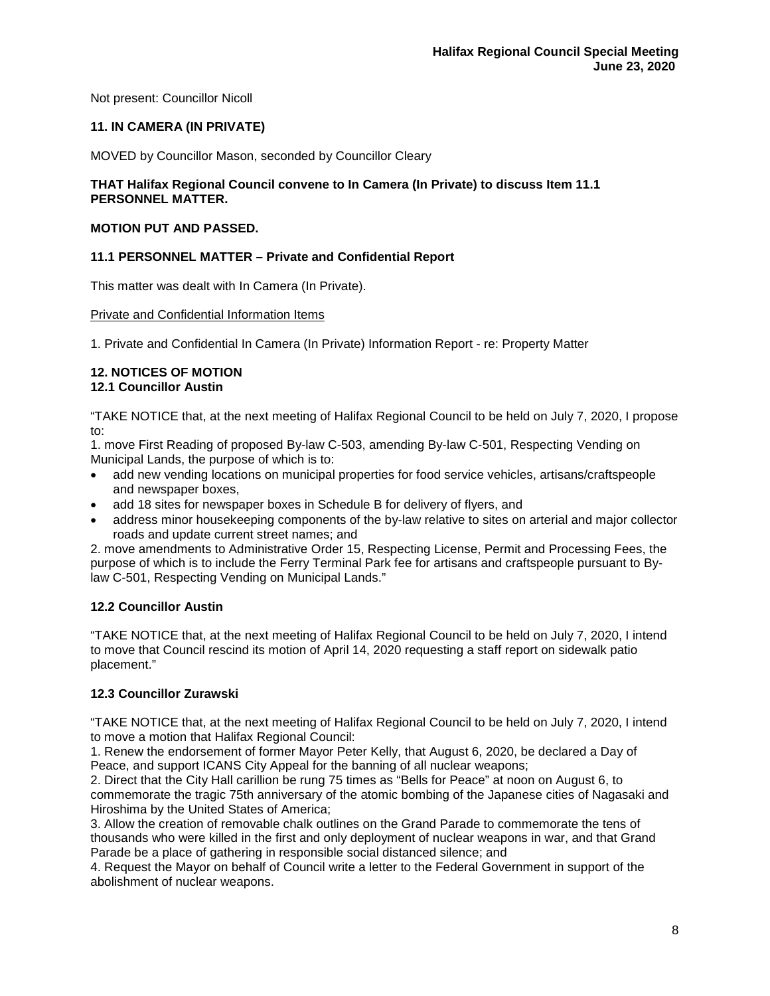Not present: Councillor Nicoll

# **11. IN CAMERA (IN PRIVATE)**

MOVED by Councillor Mason, seconded by Councillor Cleary

### **THAT Halifax Regional Council convene to In Camera (In Private) to discuss Item 11.1 PERSONNEL MATTER.**

## **MOTION PUT AND PASSED.**

## **11.1 PERSONNEL MATTER – Private and Confidential Report**

This matter was dealt with In Camera (In Private).

### Private and Confidential Information Items

1. Private and Confidential In Camera (In Private) Information Report - re: Property Matter

### **12. NOTICES OF MOTION 12.1 Councillor Austin**

"TAKE NOTICE that, at the next meeting of Halifax Regional Council to be held on July 7, 2020, I propose to:

1. move First Reading of proposed By-law C-503, amending By-law C-501, Respecting Vending on Municipal Lands, the purpose of which is to:

- add new vending locations on municipal properties for food service vehicles, artisans/craftspeople and newspaper boxes,
- add 18 sites for newspaper boxes in Schedule B for delivery of flyers, and
- address minor housekeeping components of the by-law relative to sites on arterial and major collector roads and update current street names; and

2. move amendments to Administrative Order 15, Respecting License, Permit and Processing Fees, the purpose of which is to include the Ferry Terminal Park fee for artisans and craftspeople pursuant to Bylaw C-501, Respecting Vending on Municipal Lands."

# **12.2 Councillor Austin**

"TAKE NOTICE that, at the next meeting of Halifax Regional Council to be held on July 7, 2020, I intend to move that Council rescind its motion of April 14, 2020 requesting a staff report on sidewalk patio placement."

# **12.3 Councillor Zurawski**

"TAKE NOTICE that, at the next meeting of Halifax Regional Council to be held on July 7, 2020, I intend to move a motion that Halifax Regional Council:

1. Renew the endorsement of former Mayor Peter Kelly, that August 6, 2020, be declared a Day of Peace, and support ICANS City Appeal for the banning of all nuclear weapons;

2. Direct that the City Hall carillion be rung 75 times as "Bells for Peace" at noon on August 6, to commemorate the tragic 75th anniversary of the atomic bombing of the Japanese cities of Nagasaki and Hiroshima by the United States of America;

3. Allow the creation of removable chalk outlines on the Grand Parade to commemorate the tens of thousands who were killed in the first and only deployment of nuclear weapons in war, and that Grand Parade be a place of gathering in responsible social distanced silence; and

4. Request the Mayor on behalf of Council write a letter to the Federal Government in support of the abolishment of nuclear weapons.